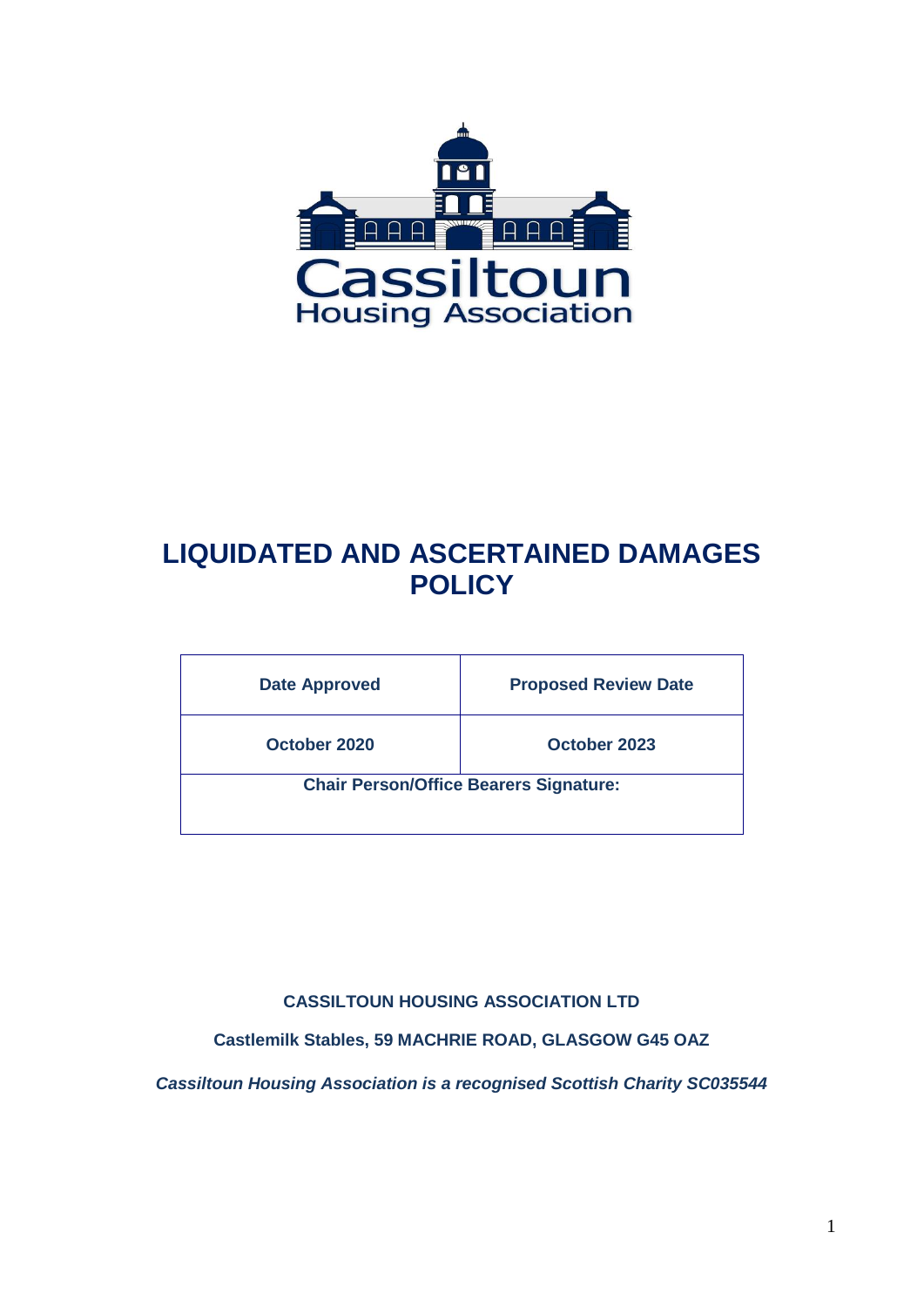

# **LIQUIDATED AND ASCERTAINED DAMAGES POLICY**

| <b>Date Approved</b>                          | <b>Proposed Review Date</b> |
|-----------------------------------------------|-----------------------------|
| October 2020                                  | October 2023                |
| <b>Chair Person/Office Bearers Signature:</b> |                             |
|                                               |                             |

### **CASSILTOUN HOUSING ASSOCIATION LTD**

**Castlemilk Stables, 59 MACHRIE ROAD, GLASGOW G45 OAZ**

*Cassiltoun Housing Association is a recognised Scottish Charity SC035544*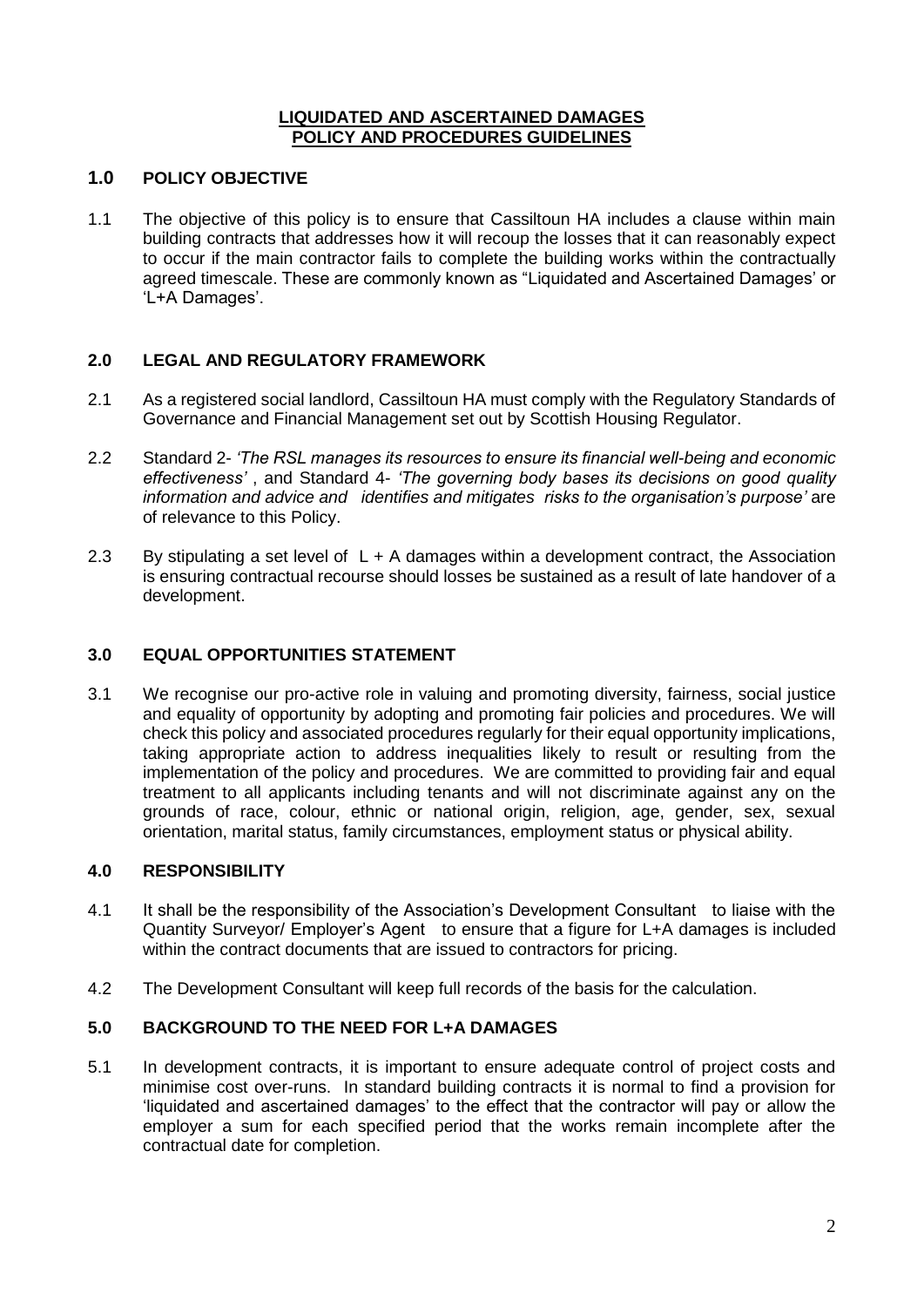#### **LIQUIDATED AND ASCERTAINED DAMAGES POLICY AND PROCEDURES GUIDELINES**

#### **1.0 POLICY OBJECTIVE**

1.1 The objective of this policy is to ensure that Cassiltoun HA includes a clause within main building contracts that addresses how it will recoup the losses that it can reasonably expect to occur if the main contractor fails to complete the building works within the contractually agreed timescale. These are commonly known as "Liquidated and Ascertained Damages' or 'L+A Damages'.

#### **2.0 LEGAL AND REGULATORY FRAMEWORK**

- 2.1 As a registered social landlord, Cassiltoun HA must comply with the Regulatory Standards of Governance and Financial Management set out by Scottish Housing Regulator.
- 2.2 Standard 2- *'The RSL manages its resources to ensure its financial well-being and economic effectiveness'* , and Standard 4- *'The governing body bases its decisions on good quality information and advice and identifies and mitigates risks to the organisation's purpose'* are of relevance to this Policy.
- 2.3 By stipulating a set level of L + A damages within a development contract, the Association is ensuring contractual recourse should losses be sustained as a result of late handover of a development.

#### **3.0 EQUAL OPPORTUNITIES STATEMENT**

3.1 We recognise our pro-active role in valuing and promoting diversity, fairness, social justice and equality of opportunity by adopting and promoting fair policies and procedures. We will check this policy and associated procedures regularly for their equal opportunity implications, taking appropriate action to address inequalities likely to result or resulting from the implementation of the policy and procedures. We are committed to providing fair and equal treatment to all applicants including tenants and will not discriminate against any on the grounds of race, colour, ethnic or national origin, religion, age, gender, sex, sexual orientation, marital status, family circumstances, employment status or physical ability.

#### **4.0 RESPONSIBILITY**

- 4.1 It shall be the responsibility of the Association's Development Consultant to liaise with the Quantity Surveyor/ Employer's Agent to ensure that a figure for L+A damages is included within the contract documents that are issued to contractors for pricing.
- 4.2 The Development Consultant will keep full records of the basis for the calculation.

#### **5.0 BACKGROUND TO THE NEED FOR L+A DAMAGES**

5.1 In development contracts, it is important to ensure adequate control of project costs and minimise cost over-runs. In standard building contracts it is normal to find a provision for 'liquidated and ascertained damages' to the effect that the contractor will pay or allow the employer a sum for each specified period that the works remain incomplete after the contractual date for completion.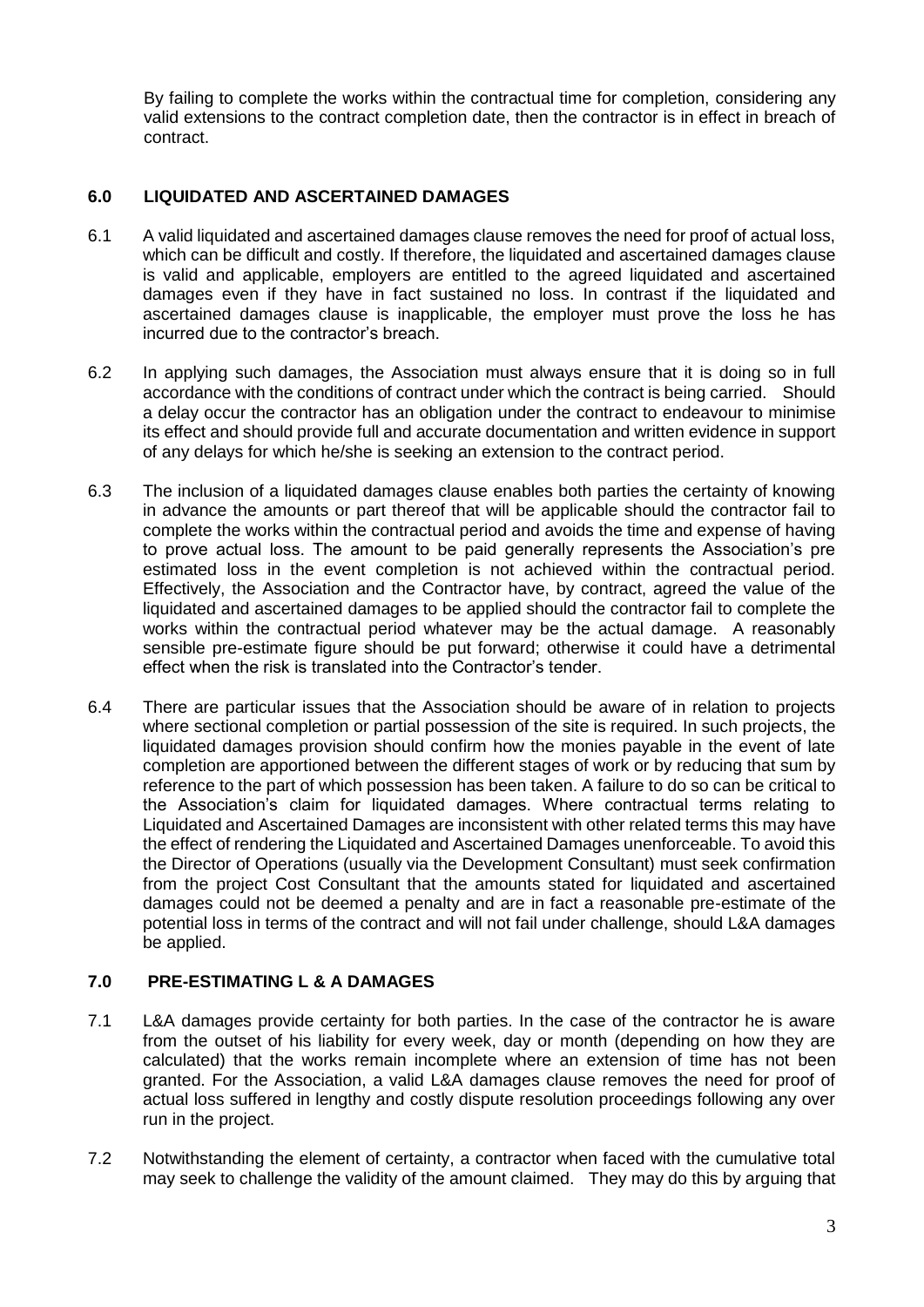By failing to complete the works within the contractual time for completion, considering any valid extensions to the contract completion date, then the contractor is in effect in breach of contract.

#### **6.0 LIQUIDATED AND ASCERTAINED DAMAGES**

- 6.1 A valid liquidated and ascertained damages clause removes the need for proof of actual loss, which can be difficult and costly. If therefore, the liquidated and ascertained damages clause is valid and applicable, employers are entitled to the agreed liquidated and ascertained damages even if they have in fact sustained no loss. In contrast if the liquidated and ascertained damages clause is inapplicable, the employer must prove the loss he has incurred due to the contractor's breach.
- 6.2 In applying such damages, the Association must always ensure that it is doing so in full accordance with the conditions of contract under which the contract is being carried. Should a delay occur the contractor has an obligation under the contract to endeavour to minimise its effect and should provide full and accurate documentation and written evidence in support of any delays for which he/she is seeking an extension to the contract period.
- 6.3 The inclusion of a liquidated damages clause enables both parties the certainty of knowing in advance the amounts or part thereof that will be applicable should the contractor fail to complete the works within the contractual period and avoids the time and expense of having to prove actual loss. The amount to be paid generally represents the Association's pre estimated loss in the event completion is not achieved within the contractual period. Effectively, the Association and the Contractor have, by contract, agreed the value of the liquidated and ascertained damages to be applied should the contractor fail to complete the works within the contractual period whatever may be the actual damage. A reasonably sensible pre-estimate figure should be put forward; otherwise it could have a detrimental effect when the risk is translated into the Contractor's tender.
- 6.4 There are particular issues that the Association should be aware of in relation to projects where sectional completion or partial possession of the site is required. In such projects, the liquidated damages provision should confirm how the monies payable in the event of late completion are apportioned between the different stages of work or by reducing that sum by reference to the part of which possession has been taken. A failure to do so can be critical to the Association's claim for liquidated damages. Where contractual terms relating to Liquidated and Ascertained Damages are inconsistent with other related terms this may have the effect of rendering the Liquidated and Ascertained Damages unenforceable. To avoid this the Director of Operations (usually via the Development Consultant) must seek confirmation from the project Cost Consultant that the amounts stated for liquidated and ascertained damages could not be deemed a penalty and are in fact a reasonable pre-estimate of the potential loss in terms of the contract and will not fail under challenge, should L&A damages be applied.

#### **7.0 PRE-ESTIMATING L & A DAMAGES**

- 7.1 L&A damages provide certainty for both parties. In the case of the contractor he is aware from the outset of his liability for every week, day or month (depending on how they are calculated) that the works remain incomplete where an extension of time has not been granted. For the Association, a valid L&A damages clause removes the need for proof of actual loss suffered in lengthy and costly dispute resolution proceedings following any over run in the project.
- 7.2 Notwithstanding the element of certainty, a contractor when faced with the cumulative total may seek to challenge the validity of the amount claimed. They may do this by arguing that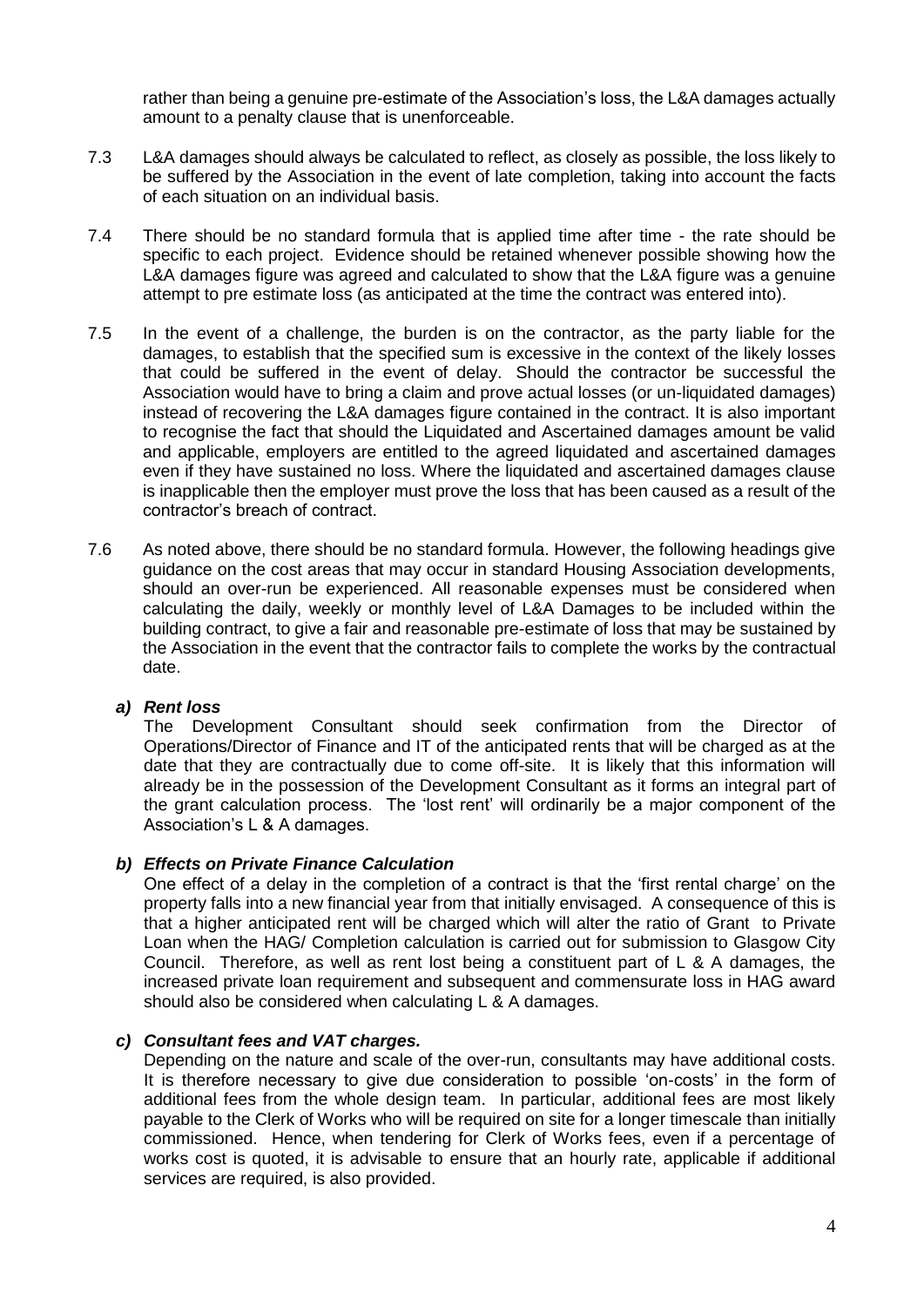rather than being a genuine pre-estimate of the Association's loss, the L&A damages actually amount to a penalty clause that is unenforceable.

- 7.3 L&A damages should always be calculated to reflect, as closely as possible, the loss likely to be suffered by the Association in the event of late completion, taking into account the facts of each situation on an individual basis.
- 7.4 There should be no standard formula that is applied time after time the rate should be specific to each project. Evidence should be retained whenever possible showing how the L&A damages figure was agreed and calculated to show that the L&A figure was a genuine attempt to pre estimate loss (as anticipated at the time the contract was entered into).
- 7.5 In the event of a challenge, the burden is on the contractor, as the party liable for the damages, to establish that the specified sum is excessive in the context of the likely losses that could be suffered in the event of delay. Should the contractor be successful the Association would have to bring a claim and prove actual losses (or un-liquidated damages) instead of recovering the L&A damages figure contained in the contract. It is also important to recognise the fact that should the Liquidated and Ascertained damages amount be valid and applicable, employers are entitled to the agreed liquidated and ascertained damages even if they have sustained no loss. Where the liquidated and ascertained damages clause is inapplicable then the employer must prove the loss that has been caused as a result of the contractor's breach of contract.
- 7.6 As noted above, there should be no standard formula. However, the following headings give guidance on the cost areas that may occur in standard Housing Association developments, should an over-run be experienced. All reasonable expenses must be considered when calculating the daily, weekly or monthly level of L&A Damages to be included within the building contract, to give a fair and reasonable pre-estimate of loss that may be sustained by the Association in the event that the contractor fails to complete the works by the contractual date.

#### *a) Rent loss*

The Development Consultant should seek confirmation from the Director of Operations/Director of Finance and IT of the anticipated rents that will be charged as at the date that they are contractually due to come off-site. It is likely that this information will already be in the possession of the Development Consultant as it forms an integral part of the grant calculation process. The 'lost rent' will ordinarily be a major component of the Association's L & A damages.

#### *b) Effects on Private Finance Calculation*

One effect of a delay in the completion of a contract is that the 'first rental charge' on the property falls into a new financial year from that initially envisaged. A consequence of this is that a higher anticipated rent will be charged which will alter the ratio of Grant to Private Loan when the HAG/ Completion calculation is carried out for submission to Glasgow City Council. Therefore, as well as rent lost being a constituent part of L & A damages, the increased private loan requirement and subsequent and commensurate loss in HAG award should also be considered when calculating L & A damages.

#### *c) Consultant fees and VAT charges.*

Depending on the nature and scale of the over-run, consultants may have additional costs. It is therefore necessary to give due consideration to possible 'on-costs' in the form of additional fees from the whole design team. In particular, additional fees are most likely payable to the Clerk of Works who will be required on site for a longer timescale than initially commissioned. Hence, when tendering for Clerk of Works fees, even if a percentage of works cost is quoted, it is advisable to ensure that an hourly rate, applicable if additional services are required, is also provided.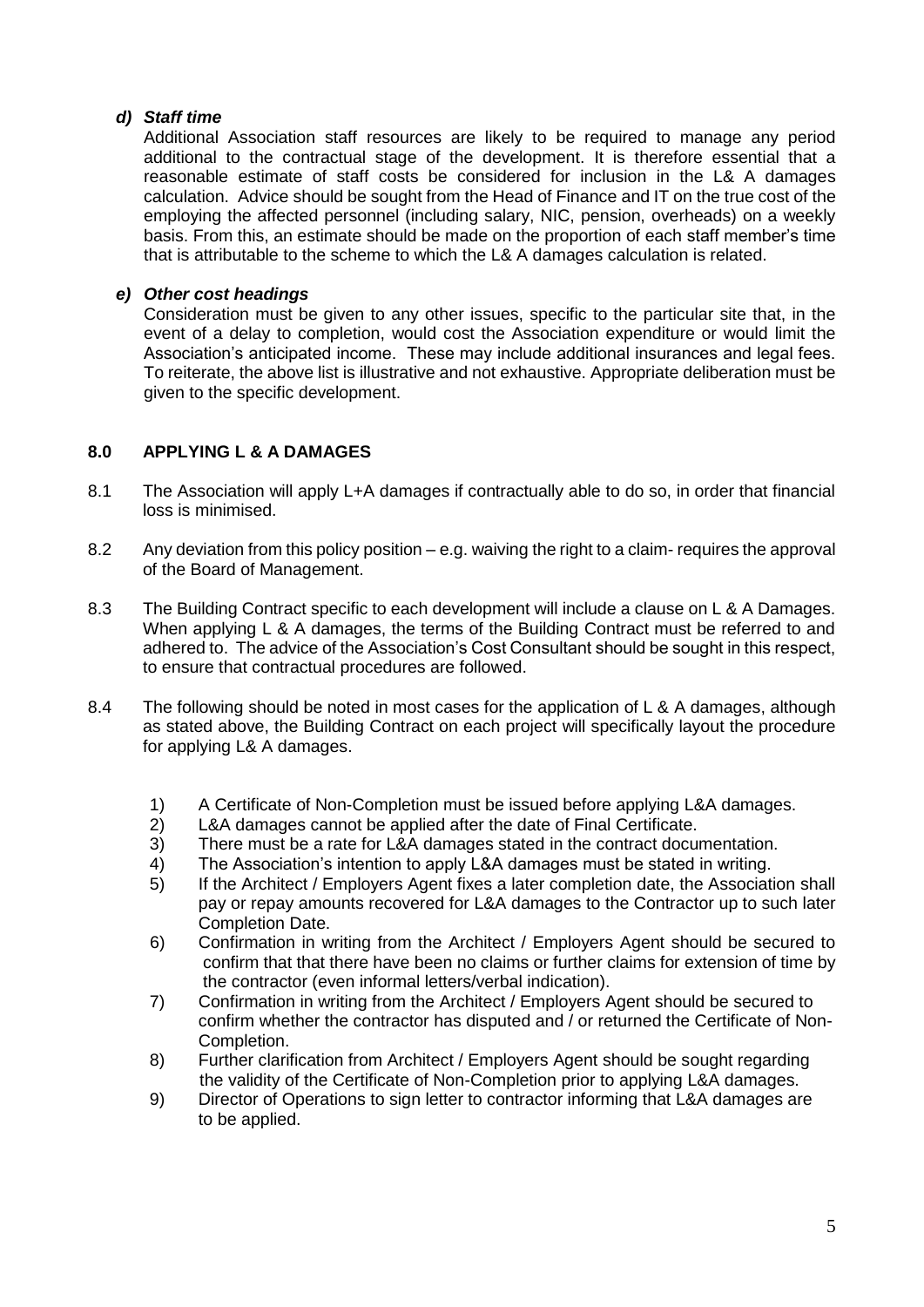#### *d) Staff time*

Additional Association staff resources are likely to be required to manage any period additional to the contractual stage of the development. It is therefore essential that a reasonable estimate of staff costs be considered for inclusion in the L& A damages calculation. Advice should be sought from the Head of Finance and IT on the true cost of the employing the affected personnel (including salary, NIC, pension, overheads) on a weekly basis. From this, an estimate should be made on the proportion of each staff member's time that is attributable to the scheme to which the L& A damages calculation is related.

#### *e) Other cost headings*

Consideration must be given to any other issues, specific to the particular site that, in the event of a delay to completion, would cost the Association expenditure or would limit the Association's anticipated income. These may include additional insurances and legal fees. To reiterate, the above list is illustrative and not exhaustive. Appropriate deliberation must be given to the specific development.

#### **8.0 APPLYING L & A DAMAGES**

- 8.1 The Association will apply L+A damages if contractually able to do so, in order that financial loss is minimised.
- 8.2 Any deviation from this policy position e.g. waiving the right to a claim- requires the approval of the Board of Management.
- 8.3 The Building Contract specific to each development will include a clause on L & A Damages. When applying L & A damages, the terms of the Building Contract must be referred to and adhered to. The advice of the Association's Cost Consultant should be sought in this respect, to ensure that contractual procedures are followed.
- 8.4 The following should be noted in most cases for the application of L & A damages, although as stated above, the Building Contract on each project will specifically layout the procedure for applying L& A damages.
	- 1) A Certificate of Non-Completion must be issued before applying L&A damages.
	- 2) L&A damages cannot be applied after the date of Final Certificate.
	- 3) There must be a rate for L&A damages stated in the contract documentation.
	- 4) The Association's intention to apply L&A damages must be stated in writing.
	- 5) If the Architect / Employers Agent fixes a later completion date, the Association shall pay or repay amounts recovered for L&A damages to the Contractor up to such later Completion Date.
	- 6) Confirmation in writing from the Architect / Employers Agent should be secured to confirm that that there have been no claims or further claims for extension of time by the contractor (even informal letters/verbal indication).
	- 7) Confirmation in writing from the Architect / Employers Agent should be secured to confirm whether the contractor has disputed and / or returned the Certificate of Non-Completion.
	- 8) Further clarification from Architect / Employers Agent should be sought regarding the validity of the Certificate of Non-Completion prior to applying L&A damages.
	- 9) Director of Operations to sign letter to contractor informing that L&A damages are to be applied.